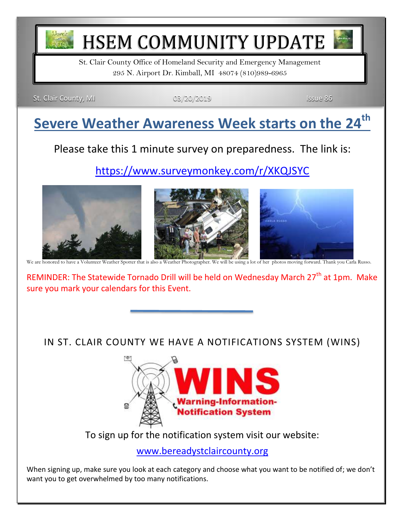

# HSEM COMMUNITY UPDATE

St. Clair County Office of Homeland Security and Emergency Management 295 N. Airport Dr. Kimball, MI 48074 (810)989-6965

St. Clair County, MI 03/20/2019 **ISSUE 86** 

## **Severe Weather Awareness Week starts on the 24th**

Please take this 1 minute survey on preparedness. The link is:

<https://www.surveymonkey.com/r/XKQJSYC>



REMINDER: The Statewide Tornado Drill will be held on Wednesday March 27<sup>th</sup> at 1pm. Make sure you mark your calendars for this Event.

IN ST. CLAIR COUNTY WE HAVE A NOTIFICATIONS SYSTEM (WINS)



To sign up for the notification system visit our website:

[www.bereadystclaircounty.org](http://www.bereadystclaircounty.org/)

When signing up, make sure you look at each category and choose what you want to be notified of; we don't want you to get overwhelmed by too many notifications.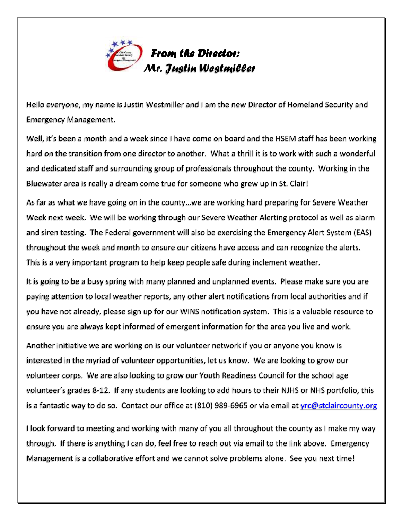

Hello everyone, my name is Justin Westmiller and I am the new Director of Homeland Security and Emergency Management.

Well, it's been a month and a week since I have come on board and the HSEM staff has been working hard on the transition from one director to another. What a thrill it is to work with such a wonderful and dedicated staff and surrounding group of professionals throughout the county. Working in the Bluewater area is really a dream come true for someone who grew up in St. Clair!

As far as what we have going on in the county…we are working hard preparing for Severe Weather Week next week. We will be working through our Severe Weather Alerting protocol as well as alarm and siren testing. The Federal government will also be exercising the Emergency Alert System (EAS) throughout the week and month to ensure our citizens have access and can recognize the alerts. This is a very important program to help keep people safe during inclement weather.

It is going to be a busy spring with many planned and unplanned events. Please make sure you are paying attention to local weather reports, any other alert notifications from local authorities and if you have not already, please sign up for our WINS notification system. This is a valuable resource to ensure you are always kept informed of emergent information for the area you live and work.

Another initiative we are working on is our volunteer network if you or anyone you know is interested in the myriad of volunteer opportunities, let us know. We are looking to grow our volunteer corps. We are also looking to grow our Youth Readiness Council for the school age volunteer's grades 8-12. If any students are looking to add hours to their NJHS or NHS portfolio, this is a fantastic way to do so. Contact our office at (810) 989-6965 or via email at *yrc@stclaircounty.org* 

I look forward to meeting and working with many of you all throughout the county as I make my way through. If there is anything I can do, feel free to reach out via email to the link above. Emergency Management is a collaborative effort and we cannot solve problems alone. See you next time!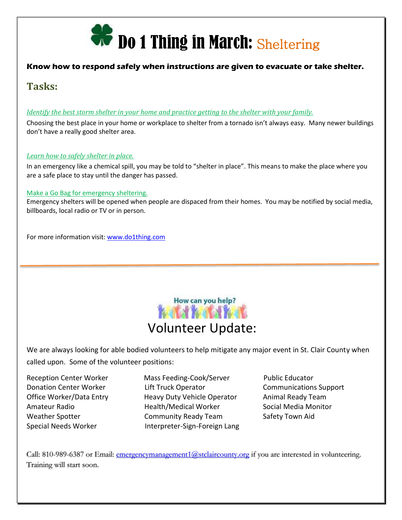

#### **Know how to respond safely when instructions are given to evacuate or take shelter.**

#### **Tasks:**

#### *[Identify the best storm shelter in your home and practice getting to the shelter with your family.](https://do1thing.us9.list-manage.com/track/click?u=035ce122cd759f1206d70dbbc&id=479396ab09&e=1e1dda77ee)*

Choosing the best place in your home or workplace to shelter from a tornado isn't always easy. Many newer buildings don't have a really good shelter area.

#### *[Learn how to safely shelter in place.](https://do1thing.us9.list-manage.com/track/click?u=035ce122cd759f1206d70dbbc&id=9879a4403a&e=1e1dda77ee)*

In an emergency like a chemical spill, you may be told to "shelter in place". This means to make the place where you are a safe place to stay until the danger has passed.

#### [Make a Go Bag for emergency sheltering.](https://do1thing.us9.list-manage.com/track/click?u=035ce122cd759f1206d70dbbc&id=c4dba261df&e=1e1dda77ee)

Emergency shelters will be opened when people are dispaced from their homes. You may be notified by social media, billboards, local radio or TV or in person.

For more information visit: [www.do1thing.com](http://www.do1thing.com/)



We are always looking for able bodied volunteers to help mitigate any major event in St. Clair County when called upon. Some of the volunteer positions:

Reception Center Worker Mass Feeding-Cook/Server Public Educator Donation Center Worker **Lift Truck Operator** Communications Support Office Worker/Data Entry **Heavy Duty Vehicle Operator** Animal Ready Team Amateur Radio **Amateur Radio Amateur Radio** Health/Medical Worker Social Media Monitor Weather Spotter **Community Ready Team** Safety Town Aid Special Needs Worker **Interpreter-Sign-Foreign Lang** 

Call: 810-989-6387 or Email: [emergencymanagement1@stclaircounty.org](mailto:emergencymanagement1@stclaircounty.org) if you are interested in volunteering. Training will start soon.